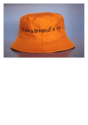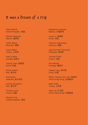# It was a <sup>d</sup>ream of a trip

Olivia Aherne United Kingdom, 英国

Paulina Ascencio Mexico, 墨西哥

Celina Basra Germany, 德国

Canan Batur Turkey, 土耳其

Anais Castro Canada, 加拿大

Jiaying Chen, 陈嘉莹 China, 中国

Giulia Colletti Italy, 意大利

Kate Davis Australia, 澳大利亚

Cecilia Giurgevich Italy, 意大利

Thomas Laval France, 法国

Rosanna Lee United Kingdom, 英国 Margarita Leonenko Belarus, 白俄罗斯

Luyao Li, 李璐瑶 China, 中国

Yasemin Keskintepe Germany, 德国

John Kenneth Paranada Philipines, 菲律宾

Thomas Patier France, 法国

Ana Salazar Portugal, 葡萄牙

Tiange Yang, 杨天歌 China, 中国

Wilson Yeung Chun-wai, 杨俊玮 China Hong Kong, 中国香港

Seda Yildiz Turkey, 土耳其

Viola Yip, 叶天慧 China Hong Kong, 中国香港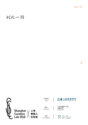到此一游

# 到此一游



Shanghai \/ 上海<br>Curators \/ 策展人<br>Lab 2018 \/ 实验室

主办单位 Host



Organizer

协办 Co-Organizer





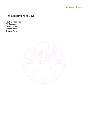

4

## The Department of Love

Paulina Ascencio Olivia Aherne Celina Basra Anaïs Castro Tiange Yang

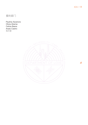到此一游

5

## 爱的部门

Paulina Ascencio Olivia Aherne Celina Basra Anaïs Castro 杨天歌

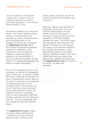"If love in society is to represent a better one, it cannot do so as a peaceful enclave, but only by conscious opposition." (T.W. Adorno, Minima Moralia, § 110)

Prompted by reflections on time and labour in the hyper-rapidly evolving context of art institutions and biennials, as well as on the structure and accelerated pace of the Shanghai Curators Lab, we present the **Department of Love.** Within this fictional institutional framework, moments of authenticity, selfpreservation, love and care are staged to reveal (and stand in opposition to) the artificiality of vacuous institutional spaces, and the rhetorics of display and language they employ to assert themselves.

As a tool of capitalism and an act of resistance, as well as an independent voice of the heart, we hope to situate the places, meanings and functions of love in contemporary society. Why do we keep on returning to love and care as the ground and soil for our curatorial work? In this respect, the love of machines is just as relevant as the sentimentality of scent; the essential practice of breathing, tools for self-preservation and small ritualistic gestures, like the offering of rose tea - an act of hospitality that will circulate through the exhibition space.

The **Department of Love** consists of various design elements and a multitude of artistic practices spanning video, drawing, scent,

poetry, dance and sound, as well as transient situations of hospitality and reciprocity.

While four stations are dedicated to Hospitality, Reciprocity, Care and Practice, these spaces are both flexible and fluid, allowing for a blurring of diverse practices and the possibility to drift and oscillate between the works. The visitor enters the Department once they enter the gallery. It functions as a framework that does not end with the exhibition, but one that will continue to grow beyond the confines of the gallery space to different contexts, with some works functioning as scores to be taken home, repeated and practiced. The **Department of Love** will continue to vibrate, circulate, and percolate.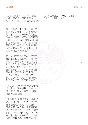$$110)$ 

源于对全球艺术机构和双年展超 快速发展的背景下对时间和劳动 的反思,以及上海策展人实验室 的结构和速率,我们提议创建"爱 的部门"。在这个制度框架内,真 实性瞬间、自我保护、爱和关怀 用以揭示(并反对)许多空洞制 度空间的人为性,以及用来自我 主张的语言与行为修辞。

在一个独立的心灵之声、资本主 义的工具和抵抗的行为之间,当 代社会中爱的地方、意义和功能 是什么?为什么需要爱作为工作 的基础和土壤? 在这方面, 对机 器的爱与我们有关,对气味的体 感亦然,还有呼吸的基本习惯、 自我保护的途径和小的礼仪手 势,如提供玫瑰茶的举措也是热 烈欢迎的表达,散于展览空间。

 "爱的部门"包括各种设计元素和 艺术定位,涵盖视频、绘画、气 味、诗歌、舞蹈、声音以及友好 互惠的短暂情境。

 "爱的部门"分四个部分,包括好 客、互惠、关怀和实践,但这些 分布既灵活又流动,可以模糊不 同的位置,在作品之间漂移和摆 动。观众进入展厅,就进了"爱的 部门"。作为一个框架,它不随展 览结束,将继续在不同的地方环 境中超越其边界。有些作品像配

乐,可以带回家再重复。"爱的部 门"协动、循环、渗透。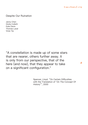Despite Our Ruination

Jenny Chen Giulia Colletti Kate Davis Thomas Laval Viola Yip

"A constellation is made up of some stars that are nearer, others further away. It is only from our perspective, that of the here (and now), that they appear to take on a significant configuration."

> Spencer, Lloyd. "On Certain Difficulties with the Translation of 'On The Concept Of History'", 2000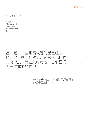到此一游

9

#### 尽管我们毁灭

陈嘉莹 Giulia Colletti Kate Davis Thomas Laval 叶天慧

## 星丛是由一些距离较近的星星组成 的,另一些则相对远。它只从我们的 角度出发,而在此时此地,它们显现 为一种重要的构型。

劳埃德·斯宾塞,《论翻译"历史概念" 的若干困难》,2000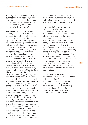In an age of rising accountability over our most intimate gestures, where governance of borders, rights, and minds seems to be the norm, how can we evade regulation and take a journey into the unknown?

Taking cue from Walter Benjamin's critique, Despite Our Ruination is an exhibition that emanates from a constellation of objects. Displaying alphanumeric messages, a **pager** embodies impending automation, as well as the interdependency between humans and technology, which in our informational era is tinged with mysterious impulses. Within the constellation, these impulses are explored through the **I Ching**, an ancient Chinese divination text, using cleromancy to establish unexplored connections with the universe. Reimagining the rules that govern reality is a task also undertaken by science fiction novelist Octavia Butler, whose seminal book **Wild Seed** explores power struggles, eugenics, and cyborg identities. The blurred edges of actuality and fiction are at stake even in **The Real As Imaginary**, a piece by Peter Ablinger consisting of the recitation of a text over white noise that completely envelopes the speech. The white noise is, in fact, a theoretical idealization, assimilated to natural sounds such as the rain in a forest, which nurtures organic and inorganic species. In forests disturbed by humans, the **matsutake** grows. It is a mushroom utilised by Anna Lowenhaupt Tsing as a trope to picture a post-Enlightenment natural world, one that can answer to the promise of cohabitation in a time of unprecedented human destruction. These entities are assimilated into a

natureculture vision, aimed at reestablishing a synthesis of nature and culture in a time when the dualism of science and the humanities prevails.

The constellation opens up to a series of artworks that challenge normative structures of thinking while stimulating critical paths. This interpretative exercise draws on artistic practices that deconstruct limitative visions on the environment, noise, and the future of human and non-human species. The invited artists' research spans from visual to sound art to suggest further vanishing points that jeopardise Western normative accounts of measurability, language, and rationality. Fostering an object-oriented approach that rejects the privileging of human existence over the existence of nonhuman identities, Despite Our Ruination is an invitation to explore routes not yet standardised.

Lastly, Despite Our Ruination proposes a Virtual Reality experience of the exhibition. Accessible via an internet link it introduces an extraterrestrial setting for the artworks presented. In this free space, the conventions of the white cube no longer assert a rational framework rooted in the history of exhibitions.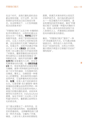在这个时代,连我们最私密的活动 都会受到支配,对于边界、权力和 思想的全权统治已经日渐成为常 态。在这种情况下,人们怎样跳脱 规训去探索未知?

"尽管我们毁灭"从瓦尔特·本雅明的 批评中得到启示,以物件的星丛出 发生长为一个展览。**寻呼机**显现字 母数字信息,体现了即将到来的自 动化,以及人与技术之间的相互依 赖,这在信息时代充满了神秘的冲 动。在星丛中,这些冲动通过中国 古代占卜文本**《易经》**进行探索, 利用卜卦以建立我们与宇宙间未明 了的联系。重新想象规训的现实同 样也是科幻小说家奥克塔维亚·巴 特勒的任务,她的开创性著作**《野 生种子》**探索着权力斗争、优生学 和赛博身份的问题。在**《真实如虚 幻》**中,现实和虚构的边缘显得更 为模糊, 彼得·阿林格的这件作品包 括了对文字的诵读,与包围其中的 白噪音。事实上,白噪音是一种理 论上的理想型,类似森林雨水般的 自然声音,它滋养着有机和无机物 种。**松茸**,在受人类干扰的森林中 生长。它是安娜·洛文豪普特·秦用 来描绘后启蒙运动自然世界的一种 蘑菇,它可以回应在前所未有的人 类毁灭时期共栖的承诺。这些实体 被同化为自然文化(natureculture) 愿景,旨在于科学二元论和人文学 科盛行的时代,重新建立自然和文 化的综合体。

这个星从发散出了一系列作品, 在 开启批判路径的同时,挑战着被限 定的思维结构。 这种解释性练习源 自一种艺术实践,它解构了环境、 噪音、人类与非人类未来的限制性

愿景。受邀艺术家的研究从视觉艺 术到声音艺术,他们指向更远的尽 头——危及着西方对可测度性、语 言和理性的规范性描述。展览"尽管 我们毁灭"促就着一种面向对象的方 法, 拒绝人类存在的特权凌驾于非 人类身份之上,并邀请观众探索那 些尚未被标准化的路径。

最后,"尽管我们毁灭"提供了一种 VR 体验展览的方式。它可通过网络 链接访问,将作品引入地外环境。 在这个自由的空间,白色立方体的 展示惯例不再显示它根植于历史的" 理性框架"。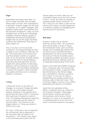#### Despite Our Ruination

#### **Pager**

Supposedly technology never dies, it's just no longer dominant; like the pager. Mostly seen in movies, their obsolescence is assumed. However, pagers are still used in hospitals, as for urgent messages, their simplicity makes them more efficient than the pervasive smartphone. Today, we work alongside ever-evolving and increasingly intelligent machines already capable of independent learning and development. Imagine that we are the pager and these machines the smartphone; what type of future awaits us?

This, of course, is not an accurate comparison. As biological beings we have to adapt to new conditions; otherwise, we die. That being said, some humans and machines already function as cognitive units, as for the past few decades humans have bent the laws of natural selection that previously governed Earth and life. Despite the vast quantities of data being gathered, and the multitude of scientists, technologists and futurologists attempting to answer this question, future forecasts vary greatly and there are no conclusive answers or solutions.

#### **I Ching**

I Ching, also known as the Book of Changes, is an ancient Chinese divination text and one of the oldest Chinese classics. Published in the Western Zhou period (late 9th century BCE), I Ching was first mentioned in Europe by Leibniz in 1703. This sparked philosophical questions, such as universality and the nature of communication. The foreword of the English edition of I Ching was written in 1949 by Carl Jung.

For Jung, I Ching was a way of exploring the unconscious, and an approach to the nonhuman field. As stated in his introduction: "The Chinese mind, seems to be exclusively preoccupied with the

chance aspect of events. What we call coincidence seems to be the chief concern of this [...] mind, and what we worship as causality passes almost unnoticed". (1) The *I Ching* not only offers a path into the unknown but raises a counter perspective to scientific causality by investigating the asynchronicity of real events.

#### **Wild Seed**

Octavia E. Butler was an African-American science writer. Her novels and short stories tackle a scope of issues still omnipresent today, such as climate change, the increasing gap between the rich and the poor and pharmaceutical developments, as well as sexual identity. Her science-fictional storytelling warns of malignant possibles, and gives voice to destitute living forms, offering a path for an expanded understanding of the world.

Butler's novel Wild Seed (1980) introduces Doro, a thousand-year-old cyborg living off the bodies of others. A gang from the New World destroy the African village Doro cultivated for centuries, and force him to leave. On his way, he meets a shapeshifting and equally powerful rival; Anyanwu, able to heal with a kiss. Their encounter triggers a century-long conflict jeopardising the essence of humanity.

Aside from her published writing, Butler's notebooks serve as a space for her innermost thoughts. These pages enliven Butler's practice and inform her inspirations and horizons. Partial sketches of a novel, or an expression of a condensed state of mind, mirror the author's profound wishes for humankind.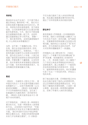假设技术永远不会消亡。它只是不再占 据主导地位; 像寻呼机一样。 我们可以 经常在电影中看到被过时化的它们。然 而,寻呼机仍然在医院使用,至于紧急 信息,它们的简单性使它们比普及的智 能手机更有效。今天,我们与不断发展 且日益智能的机器一起工作,这些机 器已经能够独立学习和开发。 想象一 下,我们是寻呼机,这些机器是智能手 机; 什么样的未来等着我们?

当然,这不是一个准确的比较。作为 生物,我们必须适应新的条件; 否则, 我们就会面临死亡。话虽如此,一些人 类和机器已经被作为认知单元在发挥作 用,因为在过去的几十年里,人类已经 扭曲了曾经统治地球和生命的自然选择 规律。尽管收集了大量数据,众多科学 家、技术专家和未来学家都在试图回答 这个问题,但未来的预测差异很大,也, 没有确定的答案或解决方案。

#### **易经**

《易经》,也被称为《变化之书》,是 中国古代的占卜文本也是中国最古老的 经典著作之一。出现于西周时期(公元 前9世纪晚期),《易经》在欧洲最早 于1703年被莱布尼茨提及。这引发了 如普遍性与沟通本质的一系列哲学问 题。《易经》的英文版序言由卡尔·荣 格于1949年撰写。

对于荣格而言, 《易经》是一种探索无 意识的方式,也是一种探索非人类领域 的方法。 正如他的介绍中所述:"中国 人的思想似乎完全专注于事件的偶然性 方面。 我们所说的巧合似乎是这种思 想的主要关注点,而我们所崇拜的因果 关系几乎没有被注意到"。(1)《易经》

不仅为我们提供了进入未知世界的道 路,而且通过调查真实事件的异步性, 提出了与科学因果关系的相反视角

#### **野生种子**

奥克塔维亚·巴特勒是一位非裔美国科 学作家。她的小说和短篇小说解决了当 今仍无处不在的一系列问题,如气候变 化、贫富差距和药物发展以及性别认同 等问题。她的科幻小说讲述了"恶"的可 能性,并为贫困的生活形式发声,为扩 大对世界的理解提供了一条道路。

巴特勒的小说《野生种子》(1980) 讲述了一个有着千年历史的赛伯格"多 罗"的故事,他依靠其他人的身体存 活。一天,来自新大陆的一伙人摧毁了 几个世纪以来由多罗耕耘的非洲村庄, 迫使他离开。路上他遇到了一个能变形 并且和他同样强大的竞争对手:安言 午,能够用吻来愈合创伤。他们的遭遇 引发了长达一个世纪的冲突,并危及人 性的本质。

除了她出版的文章,巴特勒的笔记本也 在此为我们呈现了她内心的思想世界。 这让巴特勒的实践显得更加生动,并让 我们了解她的灵感和视野。小说的一部 分草图,或这说是一种思想的凝聚表 达,反映了作者对人类的深切愿望。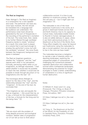#### **The Real as Imaginary**

Peter Ablinger's The Real as Imaginary is a composition for a solo speaker and noise. The performer can have any voice type; however, the text should be translated into a language that the audience can understand. The performance noise track should be generated by the sum of frequencies in the recording of the performer's recitation of the text. The noise track, then, needs to be further filtered through oscillated frequency bands to create "windows". As a result, this noise track is played at a volume that is just loud enough to envelop the performer's voice; but with the oscillated "windows", the voice floats between the foreground, background and space in between.

The Real as Imaginary questions whether the "*imaginary*" and the "real" oppose each other in our perception. Ironically, perceiving reality relies on our imagination, as Ablinger expressed, "I had asked whether it would ever be possible to reach the real, whether it would ever be possible to break through the prison of my imaginations onto the real." (2)

The monologue allows Ablinger to search for the idea of the "real", and the relationship between the "real" and the "*imaginary*". At the end of the text, he concludes that:

"The imaginary as real, and equally the real as imaginary  $-$  this would then be, so to say, a formula for the interpenetration of the two, a formula for the living and for the being-here." (3)

#### **Matsutake**

"We are stuck with the problem of living despite economic and ecological ruination. Neither tales of progression nor of ruin tell us how to think about

collaborative survival. It is time to pay attention to mushroom picking. Not that this will save us  $-$  but it might open our imagination."(4)

The matsutake is one of the most expensive mushrooms in the world, as it grows in destroyed forests across Asia and North America. Due to its capacity to nurture trees, matsutakes enable forests to flourish in human-damaged places. It is also an edible delicacy in Japan, where it can fetch astronomical prices. In The Mushroom at the End of the World, Anna Tsing offers insights into areas far beyond just mushrooms, using the matsutake to ask a crucial question: how are we going to live in the ruins we have made?

The matsutake becomes a metaphor to narrate a tale of diversity within our daunting landscapes, exploring the unexpected edges of consumerism, and challenging the connections between capitalist destruction and collaborative survival within multispecies landscapes; demonstrating the potential for fungal ecologies to foster a better understanding of cohabitation in a time of significant human destruction.

#### **Notes**

(1) Wilhelm R. (trad.) and C.G. Jung (Foreword), The I Ching, or, Book of Changes. Princeton: Princeton University Press, 3rd edition, 1967.

(2) https://ablinger.mur.at/i+r\_the-real. html

(3) https://ablinger.mur.at/i+r\_the-real. html

(4) Tsing, A., The Mushroom at the End of the World: On the Possibility of Life in Capitalist Ruins. Princeton: Princeton University Press, 2015.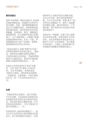#### **真实如虚幻**

彼得·阿林格的《真实如虚幻》由独诵 和噪音演奏组成。表演者可以用任何 音区演奏;但是,诵词需要被翻译成 观众可以理解的语言。表演者需表演 前把诵词录音,然后把音轧的所有音 频重叠,形成噪声。然后,需要通过 振荡频带进一步过滤噪声轨道以创建" 窗口"。这个噪音音轨一方面能以音量 包围表演者的声音;而另一方面,声 音随着振动的"窗口"在前景、背景和 噪音跟诵词的空间之间浮动。

《现实如虚幻》质疑"想像"和"现实" 在我們的感知中是否相互對立。 諷刺 地, 感知现实依賴於我們的想像力, 正如阿林格在词中表達:"我曾經問過 是否可以達到现实,是否有可能突破 想像力的監控来感知现实。"(2)

这独白允许阿林格寻问"现实"的概 念, 以及"现实"和"虚构"之间的关 系。 在文本的最后,他得出结论: "虚构作为真实,同样是现实的假想 - 这就是说, 这是两者一个相互渗透 的公式,和一个生活和此在的公式。 (3)

#### **松茸**

"尽管经济和生态破坏,我们仍然陷 于生存问题。无论是进步还是毁灭的 传说都没有告诉我们如何思考共同生 存。现在是时候关注蘑菇采摘。并不 是说这会拯救我们 - 但它可能会打开 我们的想像力。"(4)

松茸是世界上最昂贵的蘑菇之一,因 为它生长在亚洲和北美洲被毁坏的森 林中。由于其培育树木的能力,松茸

使森林在人类破坏的地方蓬勃发展。 它在日本也是一种可食用的美味佳 肴,可以以天价获得。安娜·秦于《在 世界尽头的蘑菇》中,提供了远超蘑 菇范畴的见解,通过松茸提出一个关 键问题:我们将如何生活在我们所制 造的废墟中?

松茸成为一种隐喻,构建了骇人图景 中的多样性故事,探索消费主义的异 常性,并在多种景观中挑战资本主义 破坏与"共生"之间的联系;显示真菌 生态的潜力,以便在人类面临毁灭的 时候更好地理解共同栖居的意义。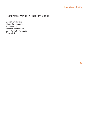

### Transverse Waves In Phantom Space

Cecilia Giurgevich Margarita Leonenko Iris Luyao Li Yasemin Keskintepe John Kenneth Paranada Seda Yildiz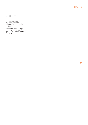幻影回声

Cecilia Giurgevich Margarita Leonenko 李璐瑶 Yasemin Keskintepe John Kenneth Paranada Seda Yildiz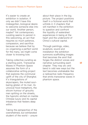It's easier to create an exhibition in isolation. If only we didn't have this misbegotten, biological desire to welcome someone else into our world. Another person, maybe? Yet contemporary curating seems to persist in this welcoming, an act that requires so much patience, compassion, and sacrifice because we believe that by co-organising a perfect world for the many, we might come closer to knowing love.

Taking collective curating as a starting point, Transverse Waves In Phantom Space assumes the form of a collaborative writing project that explores the communal uplift of the city of Shanghai. It's triangulations of skyscrapers, the muted soulbaring glisten of its river, its univocal food metaphors, the sitcom humour of grouchy men spitting on the streets, the hypnotic etched on marble Chinese luxury and its capital imbalance that festers deep within.

Taking the perspective of the overwhelmed, but exhilarated student of the world  $-$  unsure about their place in the big picture. The project positions itself in a fictional world that unfolds in 3 chapters that will manifest in the exhibition to question and confront the liquidity of watershed experiences in being at the heart and the underworld of China's cultural capital.

Through paintings, video, sculpture, sound and installation the exhibition summons scaffolding images that becomes the anvil that forges the distinct voices and narrative surrounding each chapter. They may arc and bend in odd new ways but the text becomes unshakable like a radioactive radio frequency that emits transverse waves in phantom space.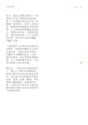也许,独自上路更加轻松——如 果我们不受人类群居本能的驱 使,心怀希冀向往沿途与他人的 偶遇:结伴同行,如何?此时此 地,策展同样保持着这开放的热 情,众人拾柴纵然需要更多的耐 心、同理心和包容,但是我们相 信,通过共同创造一个心之所向 的世界,我们也许会更加理解 "理解"本身。

 "幻影回声"从共同创作的虚构文 本展开,探索城市繁荣生长中的 点滴往复:日新月异的天际线, 灰霾中江河缄默的波光,饮食 背后的隐忧,街头荒谬的情景闹 剧,无人问津的奢华陈设,以及 浮华表象下的资本失衡。

展览以一个陌生的外来者视角代 入、通过三个章节的叙事结构。 将观众置于异托邦式的虚构世界 中,在这里文本如同脉冲反射的 电波,绘画、影像、雕塑、声音 等媒介重新建构一场复调的交 响,以探讨当下资本中心背后的 潜在隐忧与跨文化身份流变中的 个体经验议题。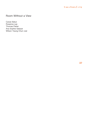

## Room Without a View

Canan Batur Rosanna Lee Thomas Patier Ana Sophie Salazar Wilson Yeung Chun-wai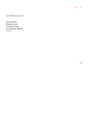## 没有景观的房间

Canan Batur Rosanna Lee Thomas Patier Ana Sophie Salazar 杨俊玮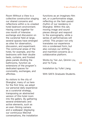Room Without a View is a collective construction staging our shared concerns and reflections within a re-created hotel bedroom environment. Having come together for one month of intensive exchange and discussion on the curatorial field at large, several spaces have emerged as sites for observation, discussion, and experiment. The communal areas of the hotel, for example, and the bedrooms with their double beds, curtains, and frosted glass panels dividing the bathrooms, function as extensions of the program's dedicated spaces for conviviality, exchanges, and affinities.

As visitors to the city of Shanghai, many of us here for the first time, we adopt our personal daily experience as a curatorial strategy, transposing an abstracted version of this hotel room into the gallery. By gathering several emblematic and active elements, such as an ever-filming camera and a wallpaper displaying our continuous WeChat conversations, the installation functions as an imaginary film set, or a performative stage, reflecting on the fast-paced rhythm of our residency in Shanghai. Within this set, moving image and sound pieces disrupt and respond to the scenography, while a series of performances will unfold. This project not only translates our experience into a condensed form, but also conveys our shifting and manifold concerns as a collaborative platform.

Works by Yan Jun, Qinmin Liu, and Ye Funa.

Installation by Yufei Liang.

With SAFA Graduate Students.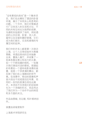"没有景观的房间"是一个集体项 目,我们在此模拟了酒店的卧室 环境、展示了共同关心和思考的 问题。一个月中,我们对策展进 行广泛而深入的交流和讨论,不 同的共有空间也为我們的观察、 沟通和实验提供了场所,例如酒 店的公共区域、卧室、双人床、 窗帘以及浴室的磨砂玻璃, 它们 成为我们娱乐、交流和感情的专 属空间的延伸。

我们中的许多人都是第一次游访 上海,以个人日常经验作为策展 策略,将酒店房间的空间抽象 出来,置换入展厅,并收集了一 些具有象征意义和活力的元素, 如一个不断拍摄的相机,一张展 示我们微信对话的壁纸。搭建起 的布景如一个虚构电影场景的装 置,或是一个供表演的舞台,都 反映了我们在上海期间的快节 奏。在场景中,移动的图像和声 音片段会干扰或是回应布景,而 同时一系列的表演也将在此展 开。本项目不仅将我们的经验转 化为一个浓缩的形式,而且传达 了我们作为一个协作平台的转变 和多方面的关注。

作品由颜峻, 刘沁敏, 和叶甫纳创 作。

装置由梁瑜斐制作

上海美术学院研究生